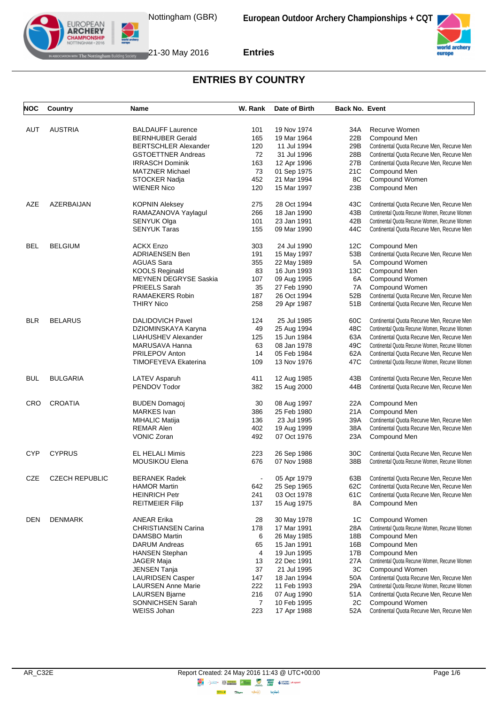



| <b>NOC</b> | Country               | <b>Name</b>                  | W. Rank | Date of Birth              | <b>Back No. Event</b> |                                                |
|------------|-----------------------|------------------------------|---------|----------------------------|-----------------------|------------------------------------------------|
|            |                       |                              |         |                            |                       |                                                |
| AUT        | <b>AUSTRIA</b>        | <b>BALDAUFF Laurence</b>     | 101     | 19 Nov 1974                | 34A                   | Recurve Women                                  |
|            |                       | <b>BERNHUBER Gerald</b>      | 165     | 19 Mar 1964                | 22B                   | Compound Men                                   |
|            |                       | <b>BERTSCHLER Alexander</b>  | 120     | 11 Jul 1994                | 29B                   | Continental Quota Recurve Men, Recurve Men     |
|            |                       | <b>GSTOETTNER Andreas</b>    | 72      | 31 Jul 1996                | 28B                   | Continental Quota Recurve Men, Recurve Men     |
|            |                       | <b>IRRASCH Dominik</b>       | 163     | 12 Apr 1996                | 27B                   | Continental Quota Recurve Men, Recurve Men     |
|            |                       | <b>MATZNER Michael</b>       | 73      | 01 Sep 1975                | 21C                   | Compound Men                                   |
|            |                       | STOCKER Nadja                | 452     | 21 Mar 1994                | 8C                    | Compound Women                                 |
|            |                       | <b>WIENER Nico</b>           | 120     | 15 Mar 1997                | 23B                   | Compound Men                                   |
| AZE        | AZERBAIJAN            | <b>KOPNIN Aleksey</b>        | 275     | 28 Oct 1994                | 43C                   | Continental Quota Recurve Men, Recurve Men     |
|            |                       | RAMAZANOVA Yaylagul          | 266     | 18 Jan 1990                | 43B                   | Continental Quota Recurve Women, Recurve Women |
|            |                       | SENYUK Olga                  | 101     | 23 Jan 1991                | 42B                   | Continental Quota Recurve Women, Recurve Women |
|            |                       | <b>SENYUK Taras</b>          | 155     | 09 Mar 1990                | 44C                   | Continental Quota Recurve Men, Recurve Men     |
| BEL        | <b>BELGIUM</b>        | <b>ACKX Enzo</b>             | 303     | 24 Jul 1990                | 12C                   | Compound Men                                   |
|            |                       | <b>ADRIAENSEN Ben</b>        | 191     | 15 May 1997                | 53B                   | Continental Quota Recurve Men, Recurve Men     |
|            |                       | <b>AGUAS Sara</b>            | 355     | 22 May 1989                | 5A                    | Compound Women                                 |
|            |                       |                              |         |                            |                       |                                                |
|            |                       | <b>KOOLS Reginald</b>        | 83      | 16 Jun 1993                | 13C                   | Compound Men                                   |
|            |                       | <b>MEYNEN DEGRYSE Saskia</b> | 107     | 09 Aug 1995                | 6A                    | Compound Women                                 |
|            |                       | PRIEELS Sarah                | 35      | 27 Feb 1990                | 7A                    | Compound Women                                 |
|            |                       | RAMAEKERS Robin              | 187     | 26 Oct 1994                | 52B                   | Continental Quota Recurve Men, Recurve Men     |
|            |                       | <b>THIRY Nico</b>            | 258     | 29 Apr 1987                | 51B                   | Continental Quota Recurve Men, Recurve Men     |
| <b>BLR</b> | <b>BELARUS</b>        | <b>DALIDOVICH Pavel</b>      | 124     | 25 Jul 1985                | 60C                   | Continental Quota Recurve Men, Recurve Men     |
|            |                       | DZIOMINSKAYA Karyna          | 49      | 25 Aug 1994                | 48C                   | Continental Quota Recurve Women, Recurve Women |
|            |                       | <b>LIAHUSHEV Alexander</b>   | 125     | 15 Jun 1984                | 63A                   | Continental Quota Recurve Men, Recurve Men     |
|            |                       | MARUSAVA Hanna               | 63      | 08 Jan 1978                | 49C                   | Continental Quota Recurve Women, Recurve Women |
|            |                       | PRILEPOV Anton               | 14      | 05 Feb 1984                | 62A                   | Continental Quota Recurve Men, Recurve Men     |
|            |                       | <b>TIMOFEYEVA Ekaterina</b>  | 109     | 13 Nov 1976                | 47C                   | Continental Quota Recurve Women, Recurve Women |
| BUL        | <b>BULGARIA</b>       | LATEV Asparuh                | 411     | 12 Aug 1985                | 43B                   | Continental Quota Recurve Men, Recurve Men     |
|            |                       | PENDOV Todor                 | 382     | 15 Aug 2000                | 44B                   | Continental Quota Recurve Men, Recurve Men     |
| CRO        | <b>CROATIA</b>        | <b>BUDEN Domagoj</b>         | 30      | 08 Aug 1997                | 22A                   | Compound Men                                   |
|            |                       | <b>MARKES</b> Ivan           | 386     | 25 Feb 1980                | 21A                   | Compound Men                                   |
|            |                       | <b>MIHALIC Matija</b>        | 136     | 23 Jul 1995                | 39A                   | Continental Quota Recurve Men, Recurve Men     |
|            |                       | <b>REMAR Alen</b>            | 402     |                            | 38A                   | Continental Quota Recurve Men, Recurve Men     |
|            |                       | <b>VONIC Zoran</b>           | 492     | 19 Aug 1999<br>07 Oct 1976 | 23A                   | Compound Men                                   |
|            |                       |                              |         |                            |                       |                                                |
| <b>CYP</b> | <b>CYPRUS</b>         | <b>EL HELALI Mimis</b>       | 223     | 26 Sep 1986                | 30C                   | Continental Quota Recurve Men, Recurve Men     |
|            |                       | <b>MOUSIKOU Elena</b>        | 676     | 07 Nov 1988                | 38B                   | Continental Quota Recurve Women, Recurve Women |
| <b>CZE</b> | <b>CZECH REPUBLIC</b> | <b>BERANEK Radek</b>         |         | 05 Apr 1979                |                       | 63B Continental Quota Recurve Men, Recurve Men |
|            |                       | <b>HAMOR Martin</b>          | 642     | 25 Sep 1965                | 62C                   | Continental Quota Recurve Men, Recurve Men     |
|            |                       | <b>HEINRICH Petr</b>         | 241     | 03 Oct 1978                | 61C                   | Continental Quota Recurve Men, Recurve Men     |
|            |                       | <b>REITMEIER Filip</b>       | 137     | 15 Aug 1975                | 8A                    | Compound Men                                   |
| DEN        | <b>DENMARK</b>        | <b>ANEAR Erika</b>           | 28      | 30 May 1978                | 1C                    | Compound Women                                 |
|            |                       | <b>CHRISTIANSEN Carina</b>   | 178     | 17 Mar 1991                | 28A                   | Continental Quota Recurve Women, Recurve Women |
|            |                       | DAMSBO Martin                | 6       | 26 May 1985                | 18B                   | Compound Men                                   |
|            |                       | <b>DARUM Andreas</b>         | 65      | 15 Jan 1991                | 16B                   | Compound Men                                   |
|            |                       | <b>HANSEN Stephan</b>        | 4       | 19 Jun 1995                | 17B                   | Compound Men                                   |
|            |                       | <b>JAGER Maja</b>            | 13      | 22 Dec 1991                | 27 A                  | Continental Quota Recurve Women, Recurve Women |
|            |                       | <b>JENSEN Tanja</b>          | 37      | 21 Jul 1995                | 3C                    | Compound Women                                 |
|            |                       | <b>LAURIDSEN Casper</b>      | 147     | 18 Jan 1994                | 50A                   | Continental Quota Recurve Men, Recurve Men     |
|            |                       | <b>LAURSEN Anne Marie</b>    | 222     | 11 Feb 1993                | 29A                   | Continental Quota Recurve Women, Recurve Women |
|            |                       |                              |         |                            |                       | Continental Quota Recurve Men, Recurve Men     |
|            |                       | <b>LAURSEN Bjarne</b>        | 216     | 07 Aug 1990                | 51 A                  |                                                |
|            |                       | SONNICHSEN Sarah             | 7       | 10 Feb 1995                | 2C                    | Compound Women                                 |
|            |                       | WEISS Johan                  | 223     | 17 Apr 1988                | 52A                   | Continental Quota Recurve Men, Recurve Men     |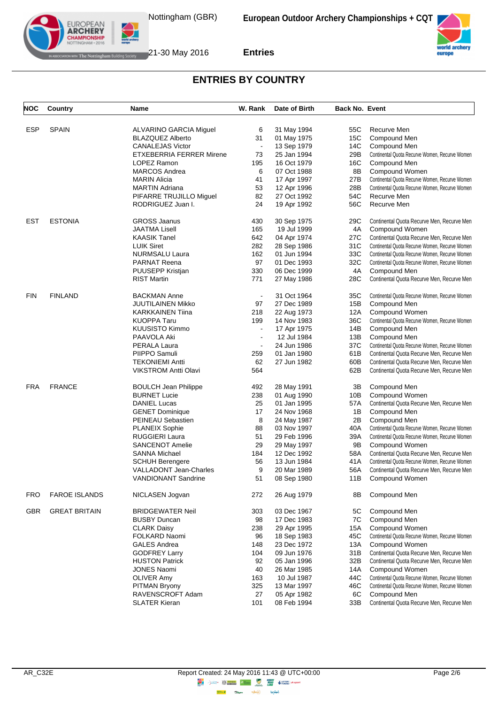



| <b>NOC</b> | Country              | Name                            | W. Rank                  | Date of Birth | <b>Back No. Event</b> |                                                |
|------------|----------------------|---------------------------------|--------------------------|---------------|-----------------------|------------------------------------------------|
|            |                      |                                 |                          |               |                       |                                                |
| <b>ESP</b> | <b>SPAIN</b>         | ALVARINO GARCIA Miguel          | 6                        | 31 May 1994   | 55C                   | Recurve Men                                    |
|            |                      | <b>BLAZQUEZ Alberto</b>         | 31                       | 01 May 1975   | 15C                   | Compound Men                                   |
|            |                      | <b>CANALEJAS Victor</b>         | $\blacksquare$           | 13 Sep 1979   | 14C                   | Compound Men                                   |
|            |                      | <b>ETXEBERRIA FERRER Mirene</b> | 73                       | 25 Jan 1994   | 29B                   | Continental Quota Recurve Women, Recurve Women |
|            |                      | LOPEZ Ramon                     | 195                      | 16 Oct 1979   | 16C                   | Compound Men                                   |
|            |                      | <b>MARCOS Andrea</b>            | 6                        | 07 Oct 1988   | 8B                    | Compound Women                                 |
|            |                      | <b>MARIN Alicia</b>             | 41                       | 17 Apr 1997   | 27B                   | Continental Quota Recurve Women, Recurve Women |
|            |                      | <b>MARTIN Adriana</b>           | 53                       | 12 Apr 1996   | 28B                   | Continental Quota Recurve Women, Recurve Women |
|            |                      | PIFARRE TRUJILLO Miguel         | 82                       | 27 Oct 1992   | 54C                   | Recurve Men                                    |
|            |                      | RODRIGUEZ Juan I.               | 24                       | 19 Apr 1992   | 56C                   | Recurve Men                                    |
| <b>EST</b> | <b>ESTONIA</b>       | <b>GROSS Jaanus</b>             | 430                      | 30 Sep 1975   | 29C                   | Continental Quota Recurve Men, Recurve Men     |
|            |                      | <b>JAATMA Lisell</b>            | 165                      | 19 Jul 1999   | 4A                    | Compound Women                                 |
|            |                      | <b>KAASIK Tanel</b>             | 642                      | 04 Apr 1974   | 27C                   | Continental Quota Recurve Men, Recurve Men     |
|            |                      | <b>LUIK Siret</b>               | 282                      | 28 Sep 1986   | 31C                   | Continental Quota Recurve Women, Recurve Women |
|            |                      | <b>NURMSALU Laura</b>           | 162                      | 01 Jun 1994   | 33C                   | Continental Quota Recurve Women, Recurve Women |
|            |                      | <b>PARNAT Reena</b>             | 97                       | 01 Dec 1993   | 32C                   | Continental Quota Recurve Women, Recurve Women |
|            |                      | PUUSEPP Kristjan                | 330                      | 06 Dec 1999   | 4A                    | Compound Men                                   |
|            |                      | <b>RIST Martin</b>              | 771                      | 27 May 1986   | 28C                   | Continental Quota Recurve Men, Recurve Men     |
| <b>FIN</b> | <b>FINLAND</b>       | <b>BACKMAN Anne</b>             | $\blacksquare$           | 31 Oct 1964   | 35C                   | Continental Quota Recurve Women, Recurve Women |
|            |                      | <b>JUUTILAINEN Mikko</b>        | 97                       | 27 Dec 1989   | 15B                   | Compound Men                                   |
|            |                      | <b>KARKKAINEN Tiina</b>         | 218                      | 22 Aug 1973   | 12A                   | Compound Women                                 |
|            |                      | <b>KUOPPA Taru</b>              | 199                      | 14 Nov 1983   | 36C                   | Continental Quota Recurve Women, Recurve Women |
|            |                      | <b>KUUSISTO Kimmo</b>           | $\blacksquare$           | 17 Apr 1975   | 14B                   | Compound Men                                   |
|            |                      | PAAVOLA Aki                     | $\blacksquare$           | 12 Jul 1984   | 13B                   | Compound Men                                   |
|            |                      | PERALA Laura                    | $\overline{\phantom{a}}$ | 24 Jun 1986   | 37C                   | Continental Quota Recurve Women, Recurve Women |
|            |                      | PIIPPO Samuli                   | 259                      | 01 Jan 1980   |                       | Continental Quota Recurve Men, Recurve Men     |
|            |                      |                                 |                          |               | 61 B                  |                                                |
|            |                      | <b>TEKONIEMI Antti</b>          | 62                       | 27 Jun 1982   | 60B                   | Continental Quota Recurve Men, Recurve Men     |
|            |                      | <b>VIKSTROM Antti Olavi</b>     | 564                      |               | 62B                   | Continental Quota Recurve Men, Recurve Men     |
| <b>FRA</b> | <b>FRANCE</b>        | <b>BOULCH Jean Philippe</b>     | 492                      | 28 May 1991   | ЗB                    | Compound Men                                   |
|            |                      | <b>BURNET Lucie</b>             | 238                      | 01 Aug 1990   | 10B                   | Compound Women                                 |
|            |                      | <b>DANIEL Lucas</b>             | 25                       | 01 Jan 1995   | 57 A                  | Continental Quota Recurve Men, Recurve Men     |
|            |                      | <b>GENET Dominique</b>          | 17                       | 24 Nov 1968   | 1B                    | Compound Men                                   |
|            |                      | PEINEAU Sebastien               | 8                        | 24 May 1987   | 2Β                    | Compound Men                                   |
|            |                      | <b>PLANEIX Sophie</b>           | 88                       | 03 Nov 1997   | 40A                   | Continental Quota Recurve Women, Recurve Women |
|            |                      | <b>RUGGIERI Laura</b>           | 51                       | 29 Feb 1996   | 39A                   | Continental Quota Recurve Women, Recurve Women |
|            |                      | <b>SANCENOT Amelie</b>          | 29                       | 29 May 1997   | 9Β                    | Compound Women                                 |
|            |                      | <b>SANNA Michael</b>            | 184                      | 12 Dec 1992   | 58A                   | Continental Quota Recurve Men, Recurve Men     |
|            |                      | <b>SCHUH Berengere</b>          | 56                       | 13 Jun 1984   | 41 A                  | Continental Quota Recurve Women, Recurve Women |
|            |                      | <b>VALLADONT Jean-Charles</b>   | 9                        | 20 Mar 1989   | 56A                   | Continental Quota Recurve Men, Recurve Men     |
|            |                      | VANDIONAN I Sandrine            | 51                       | 08 Sep 1980   | 11B                   | Compound Women                                 |
| <b>FRO</b> | <b>FAROE ISLANDS</b> | NICLASEN Jogvan                 | 272                      | 26 Aug 1979   | 8B                    | Compound Men                                   |
| <b>GBR</b> | <b>GREAT BRITAIN</b> | <b>BRIDGEWATER Neil</b>         | 303                      | 03 Dec 1967   | 5C                    | Compound Men                                   |
|            |                      | <b>BUSBY Duncan</b>             | 98                       | 17 Dec 1983   | 7C                    | Compound Men                                   |
|            |                      | <b>CLARK Daisy</b>              | 238                      | 29 Apr 1995   | 15A                   | Compound Women                                 |
|            |                      | FOLKARD Naomi                   | 96                       | 18 Sep 1983   | 45C                   | Continental Quota Recurve Women, Recurve Women |
|            |                      | <b>GALES Andrea</b>             | 148                      | 23 Dec 1972   | 13A                   | Compound Women                                 |
|            |                      | <b>GODFREY Larry</b>            | 104                      | 09 Jun 1976   | 31B                   | Continental Quota Recurve Men, Recurve Men     |
|            |                      | <b>HUSTON Patrick</b>           | 92                       | 05 Jan 1996   | 32B                   | Continental Quota Recurve Men, Recurve Men     |
|            |                      | <b>JONES Naomi</b>              | 40                       | 26 Mar 1985   | 14A                   | Compound Women                                 |
|            |                      | <b>OLIVER Amy</b>               | 163                      | 10 Jul 1987   | 44C                   | Continental Quota Recurve Women, Recurve Women |
|            |                      | PITMAN Bryony                   | 325                      | 13 Mar 1997   | 46C                   | Continental Quota Recurve Women, Recurve Women |
|            |                      | RAVENSCROFT Adam                | 27                       | 05 Apr 1982   | 6C                    | Compound Men                                   |
|            |                      | <b>SLATER Kieran</b>            | 101                      | 08 Feb 1994   | 33B                   | Continental Quota Recurve Men, Recurve Men     |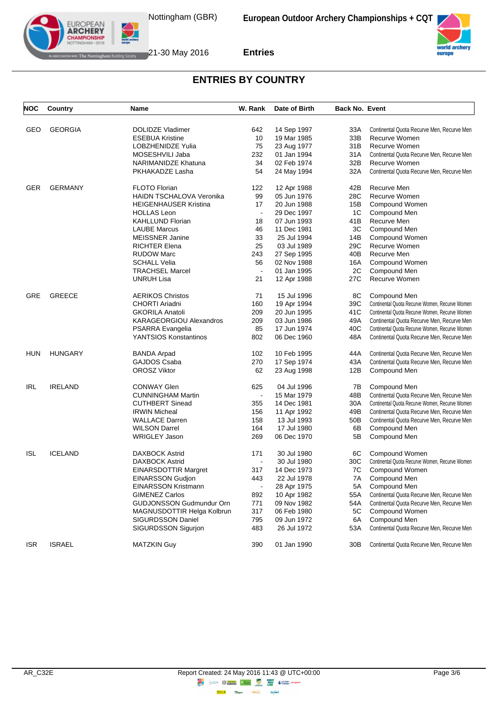



| <b>NOC</b> | Country        | Name                            | W. Rank                  | Date of Birth | <b>Back No. Event</b> |                                                |
|------------|----------------|---------------------------------|--------------------------|---------------|-----------------------|------------------------------------------------|
|            |                |                                 |                          |               |                       |                                                |
| GEO        | <b>GEORGIA</b> | <b>DOLIDZE Vladimer</b>         | 642                      | 14 Sep 1997   | 33A                   | Continental Quota Recurve Men, Recurve Men     |
|            |                | <b>ESEBUA Kristine</b>          | 10                       | 19 Mar 1985   | 33B                   | Recurve Women                                  |
|            |                | LOBZHENIDZE Yulia               | 75                       | 23 Aug 1977   | 31B                   | Recurve Women                                  |
|            |                | MOSESHVILI Jaba                 | 232                      | 01 Jan 1994   | 31A                   | Continental Quota Recurve Men, Recurve Men     |
|            |                | NARIMANIDZE Khatuna             | 34                       | 02 Feb 1974   | 32B                   | Recurve Women                                  |
|            |                | PKHAKADZE Lasha                 | 54                       | 24 May 1994   | 32A                   | Continental Quota Recurve Men, Recurve Men     |
| GER        | <b>GERMANY</b> | <b>FLOTO Florian</b>            | 122                      | 12 Apr 1988   | 42B                   | Recurve Men                                    |
|            |                | <b>HAIDN TSCHALOVA Veronika</b> | 99                       | 05 Jun 1976   | 28C                   | Recurve Women                                  |
|            |                | <b>HEIGENHAUSER Kristina</b>    | 17                       | 20 Jun 1988   | 15B                   | Compound Women                                 |
|            |                | <b>HOLLAS Leon</b>              | $\blacksquare$           | 29 Dec 1997   | 1C                    | Compound Men                                   |
|            |                | <b>KAHLLUND Florian</b>         | 18                       | 07 Jun 1993   | 41B                   | Recurve Men                                    |
|            |                | <b>LAUBE Marcus</b>             | 46                       | 11 Dec 1981   | 3C                    | Compound Men                                   |
|            |                | <b>MEISSNER Janine</b>          | 33                       | 25 Jul 1994   | 14B                   | Compound Women                                 |
|            |                | <b>RICHTER Elena</b>            | 25                       | 03 Jul 1989   | 29C                   | Recurve Women                                  |
|            |                | <b>RUDOW Marc</b>               | 243                      | 27 Sep 1995   | 40B                   | Recurve Men                                    |
|            |                | <b>SCHALL Velia</b>             | 56                       | 02 Nov 1988   | 16A                   | Compound Women                                 |
|            |                | <b>TRACHSEL Marcel</b>          | $\blacksquare$           | 01 Jan 1995   | 2C                    | Compound Men                                   |
|            |                | <b>UNRUH Lisa</b>               | 21                       | 12 Apr 1988   | 27C                   | Recurve Women                                  |
| GRE        | <b>GREECE</b>  | <b>AERIKOS Christos</b>         | 71                       | 15 Jul 1996   | 8C                    | Compound Men                                   |
|            |                | CHORTI Ariadni                  | 160                      | 19 Apr 1994   | 39C                   | Continental Quota Recurve Women, Recurve Women |
|            |                | <b>GKORILA Anatoli</b>          | 209                      | 20 Jun 1995   | 41C                   | Continental Quota Recurve Women, Recurve Women |
|            |                | <b>KARAGEORGIOU Alexandros</b>  | 209                      | 03 Jun 1986   | 49A                   | Continental Quota Recurve Men, Recurve Men     |
|            |                | PSARRA Evangelia                | 85                       | 17 Jun 1974   | 40C                   | Continental Quota Recurve Women, Recurve Women |
|            |                | YANTSIOS Konstantinos           | 802                      | 06 Dec 1960   | 48A                   | Continental Quota Recurve Men, Recurve Men     |
| <b>HUN</b> | <b>HUNGARY</b> | <b>BANDA Arpad</b>              | 102                      | 10 Feb 1995   | 44A                   | Continental Quota Recurve Men, Recurve Men     |
|            |                | GAJDOS Csaba                    | 270                      | 17 Sep 1974   | 43A                   | Continental Quota Recurve Men, Recurve Men     |
|            |                | <b>OROSZ Viktor</b>             | 62                       | 23 Aug 1998   | 12B                   | Compound Men                                   |
| <b>IRL</b> | <b>IRELAND</b> | <b>CONWAY Glen</b>              | 625                      | 04 Jul 1996   | 7B                    | Compound Men                                   |
|            |                | <b>CUNNINGHAM Martin</b>        | $\blacksquare$           | 15 Mar 1979   | 48B                   | Continental Quota Recurve Men, Recurve Men     |
|            |                | <b>CUTHBERT Sinead</b>          | 355                      | 14 Dec 1981   | 30A                   | Continental Quota Recurve Women, Recurve Women |
|            |                | <b>IRWIN Micheal</b>            | 156                      | 11 Apr 1992   | 49B                   | Continental Quota Recurve Men, Recurve Men     |
|            |                | <b>WALLACE Darren</b>           | 158                      | 13 Jul 1993   | 50B                   | Continental Quota Recurve Men, Recurve Men     |
|            |                | <b>WILSON Darrel</b>            | 164                      | 17 Jul 1980   | 6B                    | Compound Men                                   |
|            |                | <b>WRIGLEY Jason</b>            | 269                      | 06 Dec 1970   | 5Β                    | Compound Men                                   |
| <b>ISL</b> | <b>ICELAND</b> | <b>DAXBOCK Astrid</b>           | 171                      | 30 Jul 1980   | 6C                    | Compound Women                                 |
|            |                | <b>DAXBOCK Astrid</b>           | $\overline{\phantom{a}}$ | 30 Jul 1980   | 30C                   | Continental Quota Recurve Women, Recurve Women |
|            |                | <b>EINARSDOTTIR Margret</b>     | 317                      | 14 Dec 1973   | 7C                    | Compound Women                                 |
|            |                | <b>EINARSSON Gudjon</b>         | 443                      | 22 Jul 1978   | 7A                    | Compound Men                                   |
|            |                | EINARSSON Kristmann             | $\blacksquare$           | 28 Apr 1975   | 5A                    | Compound Men                                   |
|            |                | <b>GIMENEZ Carlos</b>           | 892                      | 10 Apr 1982   | 55A                   | Continental Quota Recurve Men, Recurve Men     |
|            |                | GUDJONSSON Gudmundur Orn        | 771                      | 09 Nov 1982   | 54A                   | Continental Quota Recurve Men, Recurve Men     |
|            |                | MAGNUSDOTTIR Helga Kolbrun      | 317                      | 06 Feb 1980   | 5C                    | Compound Women                                 |
|            |                | <b>SIGURDSSON Daniel</b>        | 795                      | 09 Jun 1972   | 6A                    | Compound Men                                   |
|            |                | SIGURDSSON Sigurjon             | 483                      | 26 Jul 1972   | 53A                   | Continental Quota Recurve Men, Recurve Men     |
| <b>ISR</b> | <b>ISRAEL</b>  | <b>MATZKIN Guy</b>              | 390                      | 01 Jan 1990   | 30B                   | Continental Quota Recurve Men, Recurve Men     |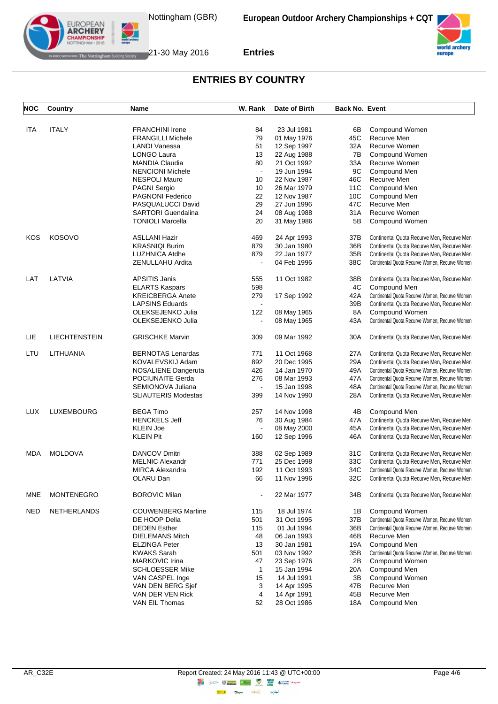



| <b>NOC</b> | Country              | Name                       | W. Rank                  | Date of Birth              | <b>Back No. Event</b> |                                                |
|------------|----------------------|----------------------------|--------------------------|----------------------------|-----------------------|------------------------------------------------|
| <b>ITA</b> | <b>ITALY</b>         | <b>FRANCHINI Irene</b>     | 84                       | 23 Jul 1981                |                       |                                                |
|            |                      |                            |                          |                            | 6B                    | Compound Women<br>Recurve Men                  |
|            |                      | <b>FRANGILLI Michele</b>   | 79                       | 01 May 1976                | 45C                   |                                                |
|            |                      | <b>LANDI Vanessa</b>       | 51                       | 12 Sep 1997                | 32A                   | Recurve Women                                  |
|            |                      | LONGO Laura                | 13                       | 22 Aug 1988                | 7B                    | Compound Women                                 |
|            |                      | <b>MANDIA Claudia</b>      | 80                       | 21 Oct 1992                | 33A                   | Recurve Women                                  |
|            |                      | <b>NENCIONI Michele</b>    | $\blacksquare$           | 19 Jun 1994                | 9C                    | Compound Men                                   |
|            |                      | <b>NESPOLI Mauro</b>       | 10                       | 22 Nov 1987                | 46C                   | Recurve Men                                    |
|            |                      | <b>PAGNI Sergio</b>        | 10                       | 26 Mar 1979                | 11C                   | Compound Men                                   |
|            |                      | <b>PAGNONI Federico</b>    | 22                       | 12 Nov 1987                | 10C                   | Compound Men                                   |
|            |                      | PASQUALUCCI David          | 29                       | 27 Jun 1996                | 47C                   | Recurve Men                                    |
|            |                      | <b>SARTORI</b> Guendalina  | 24                       | 08 Aug 1988                | 31 A                  | Recurve Women                                  |
|            |                      | <b>TONIOLI Marcella</b>    | 20                       | 31 May 1986                | 5Β                    | Compound Women                                 |
| KOS        | <b>KOSOVO</b>        | <b>ASLLANI Hazir</b>       | 469                      | 24 Apr 1993                | 37B                   | Continental Quota Recurve Men, Recurve Men     |
|            |                      | <b>KRASNIQI Burim</b>      | 879                      | 30 Jan 1980                | 36B                   | Continental Quota Recurve Men, Recurve Men     |
|            |                      | <b>LUZHNICA Atdhe</b>      | 879                      | 22 Jan 1977                | 35B                   | Continental Quota Recurve Men, Recurve Men     |
|            |                      | ZENULLAHU Ardita           | $\blacksquare$           | 04 Feb 1996                | 38C                   | Continental Quota Recurve Women, Recurve Women |
| LAT        | LATVIA               | <b>APSITIS Janis</b>       | 555                      | 11 Oct 1982                | 38B                   | Continental Quota Recurve Men, Recurve Men     |
|            |                      | <b>ELARTS Kaspars</b>      | 598                      |                            | 4C                    | Compound Men                                   |
|            |                      | <b>KREICBERGA Anete</b>    | 279                      | 17 Sep 1992                | 42A                   | Continental Quota Recurve Women, Recurve Women |
|            |                      | <b>LAPSINS Eduards</b>     | $\blacksquare$           |                            | 39B                   | Continental Quota Recurve Men, Recurve Men     |
|            |                      | OLEKSEJENKO Julia          | 122                      | 08 May 1965                | 8A                    | Compound Women                                 |
|            |                      | OLEKSEJENKO Julia          | $\overline{\phantom{a}}$ | 08 May 1965                | 43A                   | Continental Quota Recurve Women, Recurve Women |
| LIE        | <b>LIECHTENSTEIN</b> | <b>GRISCHKE Marvin</b>     | 309                      | 09 Mar 1992                | 30A                   | Continental Quota Recurve Men, Recurve Men     |
| LTU        | LITHUANIA            | <b>BERNOTAS Lenardas</b>   | 771                      | 11 Oct 1968                | 27A                   | Continental Quota Recurve Men, Recurve Men     |
|            |                      | KOVALEVSKIJ Adam           | 892                      | 20 Dec 1995                | 29A                   | Continental Quota Recurve Men, Recurve Men     |
|            |                      | <b>NOSALIENE Dangeruta</b> | 426                      | 14 Jan 1970                | 49A                   | Continental Quota Recurve Women, Recurve Women |
|            |                      | POCIUNAITE Gerda           | 276                      | 08 Mar 1993                | 47A                   | Continental Quota Recurve Women, Recurve Women |
|            |                      | SEMIONOVA Juliana          | $\blacksquare$           | 15 Jan 1998                | 48A                   | Continental Quota Recurve Women, Recurve Women |
|            |                      | <b>SLIAUTERIS Modestas</b> | 399                      | 14 Nov 1990                | 28A                   | Continental Quota Recurve Men, Recurve Men     |
| <b>LUX</b> | LUXEMBOURG           | <b>BEGA Timo</b>           | 257                      | 14 Nov 1998                | 4B                    | Compound Men                                   |
|            |                      | <b>HENCKELS Jeff</b>       | 76                       | 30 Aug 1984                | 47A                   | Continental Quota Recurve Men, Recurve Men     |
|            |                      | <b>KLEIN Joe</b>           |                          | 08 May 2000                | 45A                   | Continental Quota Recurve Men, Recurve Men     |
|            |                      | <b>KLEIN Pit</b>           | 160                      | 12 Sep 1996                | 46A                   | Continental Quota Recurve Men, Recurve Men     |
| MDA        | <b>MOLDOVA</b>       | <b>DANCOV Dmitri</b>       | 388                      | 02 Sep 1989                | 31C                   | Continental Quota Recurve Men, Recurve Men     |
|            |                      | <b>MELNIC Alexandr</b>     | 771                      | 25 Dec 1998                | 33C                   | Continental Quota Recurve Men, Recurve Men     |
|            |                      | <b>MIRCA Alexandra</b>     | 192                      | 11 Oct 1993                | 34C                   | Continental Quota Recurve Women, Recurve Women |
|            |                      | OLARU Dan                  | 66                       | 11 Nov 1996                | 32C                   | Continental Quota Recurve Men, Recurve Men     |
| <b>MNE</b> | <b>MONTENEGRO</b>    | <b>BOROVIC Milan</b>       |                          | 22 Mar 1977                | 34B                   | Continental Quota Recurve Men, Recurve Men     |
| <b>NED</b> | <b>NETHERLANDS</b>   | <b>COUWENBERG Martine</b>  | 115                      | 18 Jul 1974                | 1B                    | Compound Women                                 |
|            |                      | DE HOOP Delia              | 501                      | 31 Oct 1995                | 37B                   | Continental Quota Recurve Women, Recurve Women |
|            |                      | <b>DEDEN</b> Esther        | 115                      | 01 Jul 1994                | 36B                   | Continental Quota Recurve Women, Recurve Women |
|            |                      | <b>DIELEMANS Mitch</b>     | 48                       | 06 Jan 1993                | 46B                   | Recurve Men                                    |
|            |                      | <b>ELZINGA Peter</b>       | 13                       | 30 Jan 1981                | 19A                   | Compound Men                                   |
|            |                      |                            |                          |                            |                       |                                                |
|            |                      | <b>KWAKS Sarah</b>         | 501                      | 03 Nov 1992                | 35B                   | Continental Quota Recurve Women, Recurve Women |
|            |                      | <b>MARKOVIC Irina</b>      | 47                       | 23 Sep 1976<br>15 Jan 1994 | 2Β                    | Compound Women                                 |
|            |                      | <b>SCHLOESSER Mike</b>     | $\mathbf{1}$             |                            | 20A                   | Compound Men                                   |
|            |                      | VAN CASPEL Inge            | 15                       | 14 Jul 1991                | 3B                    | Compound Women                                 |
|            |                      | VAN DEN BERG Sjef          | 3                        | 14 Apr 1995                | 47B                   | Recurve Men                                    |
|            |                      | VAN DER VEN Rick           | 4                        | 14 Apr 1991                | 45B                   | Recurve Men                                    |
|            |                      | VAN EIL Thomas             | 52                       | 28 Oct 1986                | 18A                   | Compound Men                                   |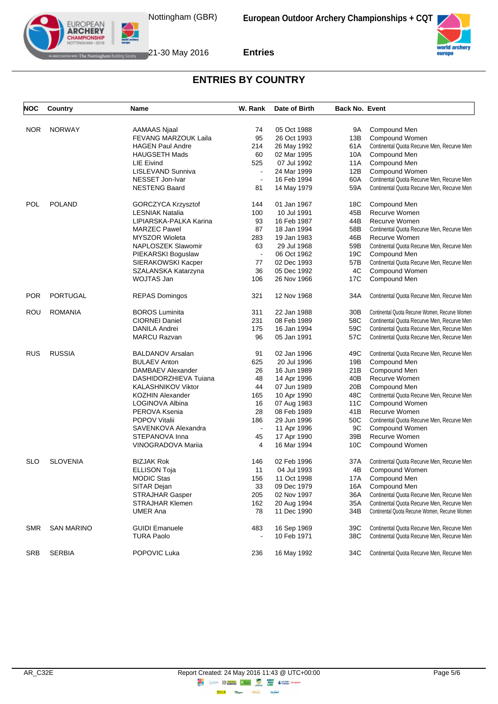



| <b>NOC</b> | Country           | Name                                        | W. Rank        | Date of Birth | <b>Back No. Event</b> |                                                |
|------------|-------------------|---------------------------------------------|----------------|---------------|-----------------------|------------------------------------------------|
|            | <b>NORWAY</b>     |                                             |                | 05 Oct 1988   |                       |                                                |
| <b>NOR</b> |                   | AAMAAS Njaal<br><b>FEVANG MARZOUK Laila</b> | 74<br>95       | 26 Oct 1993   | 9A<br>13B             | Compound Men<br>Compound Women                 |
|            |                   | <b>HAGEN Paul Andre</b>                     | 214            | 26 May 1992   | 61A                   | Continental Quota Recurve Men, Recurve Men     |
|            |                   | <b>HAUGSETH Mads</b>                        | 60             | 02 Mar 1995   | 10A                   | Compound Men                                   |
|            |                   | LIE Eivind                                  | 525            | 07 Jul 1992   | 11A                   | Compound Men                                   |
|            |                   | LISLEVAND Sunniva                           | $\sim$         | 24 Mar 1999   | 12B                   | Compound Women                                 |
|            |                   | NESSET Jon-Ivar                             | $\blacksquare$ | 16 Feb 1994   | 60A                   | Continental Quota Recurve Men, Recurve Men     |
|            |                   | <b>NESTENG Baard</b>                        | 81             | 14 May 1979   | 59A                   | Continental Quota Recurve Men, Recurve Men     |
| POL        | <b>POLAND</b>     | GORCZYCA Krzysztof                          | 144            | 01 Jan 1967   | 18C                   | Compound Men                                   |
|            |                   | <b>LESNIAK Natalia</b>                      | 100            | 10 Jul 1991   | 45B                   | Recurve Women                                  |
|            |                   | LIPIARSKA-PALKA Karina                      | 93             | 16 Feb 1987   | 44B                   | Recurve Women                                  |
|            |                   | <b>MARZEC Pawel</b>                         | 87             | 18 Jan 1994   | 58B                   | Continental Quota Recurve Men, Recurve Men     |
|            |                   | <b>MYSZOR Wioleta</b>                       | 283            | 19 Jan 1983   | 46B                   | Recurve Women                                  |
|            |                   | NAPLOSZEK Slawomir                          | 63             | 29 Jul 1968   | 59B                   | Continental Quota Recurve Men, Recurve Men     |
|            |                   | PIEKARSKI Boguslaw                          | $\blacksquare$ | 06 Oct 1962   | 19C                   | Compound Men                                   |
|            |                   | SIERAKOWSKI Kacper                          | 77             | 02 Dec 1993   | 57B                   | Continental Quota Recurve Men, Recurve Men     |
|            |                   | SZALANSKA Katarzyna                         | 36             | 05 Dec 1992   | 4C                    | Compound Women                                 |
|            |                   | WOJTAS Jan                                  | 106            | 26 Nov 1966   | 17C                   | Compound Men                                   |
| <b>POR</b> | <b>PORTUGAL</b>   | <b>REPAS Domingos</b>                       | 321            | 12 Nov 1968   | 34A                   | Continental Quota Recurve Men, Recurve Men     |
| ROU        | <b>ROMANIA</b>    | <b>BOROS Luminita</b>                       | 311            | 22 Jan 1988   | 30B                   | Continental Quota Recurve Women, Recurve Women |
|            |                   | <b>CIORNEI Daniel</b>                       | 231            | 08 Feb 1989   | 58C                   | Continental Quota Recurve Men, Recurve Men     |
|            |                   | DANILA Andrei                               | 175            | 16 Jan 1994   | 59C                   | Continental Quota Recurve Men, Recurve Men     |
|            |                   | <b>MARCU Razvan</b>                         | 96             | 05 Jan 1991   | 57C                   | Continental Quota Recurve Men, Recurve Men     |
| RUS        | <b>RUSSIA</b>     | <b>BALDANOV Arsalan</b>                     | 91             | 02 Jan 1996   | 49C                   | Continental Quota Recurve Men, Recurve Men     |
|            |                   | <b>BULAEV Anton</b>                         | 625            | 20 Jul 1996   | 19B                   | Compound Men                                   |
|            |                   | DAMBAEV Alexander                           | 26             | 16 Jun 1989   | 21B                   | Compound Men                                   |
|            |                   | DASHIDORZHIEVA Tuiana                       | 48             | 14 Apr 1996   | 40B                   | Recurve Women                                  |
|            |                   | <b>KALASHNIKOV Viktor</b>                   | 44             | 07 Jun 1989   | 20B                   | Compound Men                                   |
|            |                   | <b>KOZHIN Alexander</b>                     | 165            | 10 Apr 1990   | 48C                   | Continental Quota Recurve Men, Recurve Men     |
|            |                   | LOGINOVA Albina                             | 16             | 07 Aug 1983   | 11C                   | Compound Women                                 |
|            |                   | PEROVA Ksenia                               | 28             | 08 Feb 1989   | 41B                   | Recurve Women                                  |
|            |                   | <b>POPOV Vitalii</b>                        | 186            | 29 Jun 1996   | 50C                   | Continental Quota Recurve Men, Recurve Men     |
|            |                   | SAVENKOVA Alexandra                         | $\blacksquare$ | 11 Apr 1996   | 9C                    | Compound Women                                 |
|            |                   | STEPANOVA Inna                              | 45             | 17 Apr 1990   | 39B                   | Recurve Women                                  |
|            |                   | VINOGRADOVA Mariia                          | 4              | 16 Mar 1994   | 10C                   | Compound Women                                 |
| SLO        | <b>SLOVENIA</b>   | <b>BIZJAK Rok</b>                           | 146            | 02 Feb 1996   | 37 A                  | Continental Quota Recurve Men, Recurve Men     |
|            |                   | ELLISON Toja                                | 11             | 04 Jul 1993   | 4B                    | Compound Women                                 |
|            |                   | MODIC Stas                                  | 156            | 11 Oct 1998   | 17A                   | Compound Men                                   |
|            |                   | SITAR Dejan                                 | 33             | 09 Dec 1979   | 16A                   | Compound Men                                   |
|            |                   | <b>STRAJHAR Gasper</b>                      | 205            | 02 Nov 1997   | 36A                   | Continental Quota Recurve Men, Recurve Men     |
|            |                   | <b>STRAJHAR Klemen</b>                      | 162            | 20 Aug 1994   | 35A                   | Continental Quota Recurve Men, Recurve Men     |
|            |                   | <b>UMER Ana</b>                             | 78             | 11 Dec 1990   | 34B                   | Continental Quota Recurve Women, Recurve Women |
| SMR        | <b>SAN MARINO</b> | <b>GUIDI Emanuele</b>                       | 483            | 16 Sep 1969   | 39C                   | Continental Quota Recurve Men, Recurve Men     |
|            |                   | <b>TURA Paolo</b>                           |                | 10 Feb 1971   | 38C                   | Continental Quota Recurve Men, Recurve Men     |
| <b>SRB</b> | <b>SERBIA</b>     | POPOVIC Luka                                | 236            | 16 May 1992   | 34C                   | Continental Quota Recurve Men, Recurve Men     |